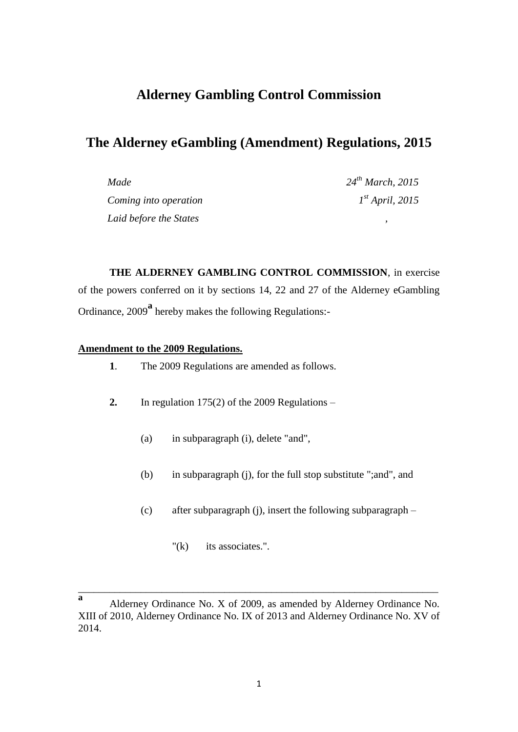# **Alderney Gambling Control Commission**

# **The Alderney eGambling (Amendment) Regulations, 2015**

| Made                   | $24^{th}$ March, 2015 |
|------------------------|-----------------------|
| Coming into operation  | $I^{st}$ April, 2015  |
| Laid before the States |                       |

**THE ALDERNEY GAMBLING CONTROL COMMISSION**, in exercise of the powers conferred on it by sections 14, 22 and 27 of the Alderney eGambling Ordinance, 2009**<sup>a</sup>** hereby makes the following Regulations:-

### **Amendment to the 2009 Regulations.**

- **1**. The 2009 Regulations are amended as follows.
- **2.** In regulation 175(2) of the 2009 Regulations
	- (a) in subparagraph (i), delete "and",
	- (b) in subparagraph (j), for the full stop substitute ";and", and
	- (c) after subparagraph (j), insert the following subparagraph
		- "(k) its associates.".

\_\_\_\_\_\_\_\_\_\_\_\_\_\_\_\_\_\_\_\_\_\_\_\_\_\_\_\_\_\_\_\_\_\_\_\_\_\_\_\_\_\_\_\_\_\_\_\_\_\_\_\_\_\_\_\_\_\_\_\_\_\_\_\_\_\_\_\_\_

**a** Alderney Ordinance No. X of 2009, as amended by Alderney Ordinance No. XIII of 2010, Alderney Ordinance No. IX of 2013 and Alderney Ordinance No. XV of 2014.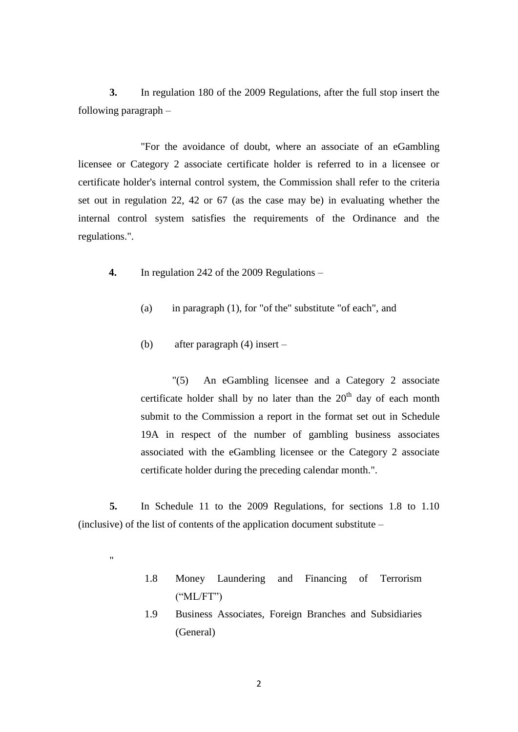**3.** In regulation 180 of the 2009 Regulations, after the full stop insert the following paragraph –

"For the avoidance of doubt, where an associate of an eGambling licensee or Category 2 associate certificate holder is referred to in a licensee or certificate holder's internal control system, the Commission shall refer to the criteria set out in regulation 22, 42 or 67 (as the case may be) in evaluating whether the internal control system satisfies the requirements of the Ordinance and the regulations.".

- **4.** In regulation 242 of the 2009 Regulations
	- (a) in paragraph (1), for "of the" substitute "of each", and
	- (b) after paragraph (4) insert –

.,

"(5) An eGambling licensee and a Category 2 associate certificate holder shall by no later than the  $20<sup>th</sup>$  day of each month submit to the Commission a report in the format set out in Schedule 19A in respect of the number of gambling business associates associated with the eGambling licensee or the Category 2 associate certificate holder during the preceding calendar month.".

**5.** In Schedule 11 to the 2009 Regulations, for sections 1.8 to 1.10 (inclusive) of the list of contents of the application document substitute –

- 1.8 Money Laundering and Financing of Terrorism  $(^{\circ}ML/FT")$
- 1.9 Business Associates, Foreign Branches and Subsidiaries (General)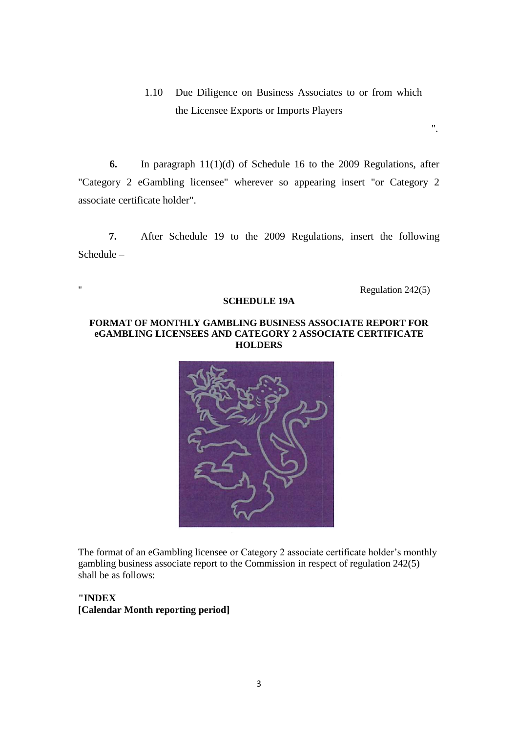1.10 Due Diligence on Business Associates to or from which the Licensee Exports or Imports Players

**6.** In paragraph 11(1)(d) of Schedule 16 to the 2009 Regulations, after "Category 2 eGambling licensee" wherever so appearing insert "or Category 2 associate certificate holder".

**7.** After Schedule 19 to the 2009 Regulations, insert the following Schedule –

" Regulation 242(5)

".

#### **SCHEDULE 19A**

#### **FORMAT OF MONTHLY GAMBLING BUSINESS ASSOCIATE REPORT FOR eGAMBLING LICENSEES AND CATEGORY 2 ASSOCIATE CERTIFICATE HOLDERS**



The format of an eGambling licensee or Category 2 associate certificate holder's monthly gambling business associate report to the Commission in respect of regulation 242(5) shall be as follows:

## **"INDEX [Calendar Month reporting period]**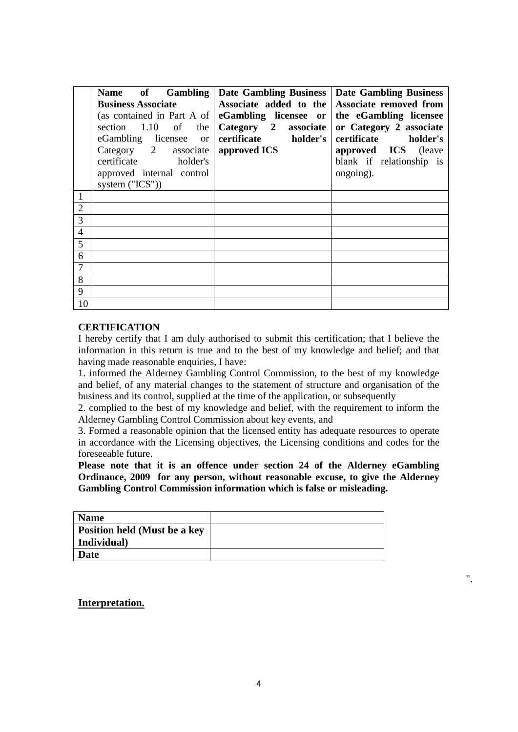|                | Name of Gambling                   | <b>Date Gambling Business</b>                | <b>Date Gambling Business</b> |
|----------------|------------------------------------|----------------------------------------------|-------------------------------|
|                | <b>Business Associate</b>          | Associate added to the                       | Associate removed from        |
|                | (as contained in Part A of $\vert$ | eGambling licensee or the eGambling licensee |                               |
|                | section $1.10$ of<br>the           | Category 2 associate                         | or Category 2 associate       |
|                | eGambling licensee or              | certificate holder's                         | certificate holder's          |
|                | Category 2 associate               | approved ICS                                 | approved ICS (leave           |
|                | certificate holder's               |                                              | blank if relationship is      |
|                | approved internal control          |                                              | ongoing).                     |
|                | system ("ICS"))                    |                                              |                               |
|                |                                    |                                              |                               |
| 2              |                                    |                                              |                               |
| 3              |                                    |                                              |                               |
| $\overline{4}$ |                                    |                                              |                               |
| 5              |                                    |                                              |                               |
| 6              |                                    |                                              |                               |
|                |                                    |                                              |                               |
| 8              |                                    |                                              |                               |
| 9              |                                    |                                              |                               |
| 10             |                                    |                                              |                               |

#### **CERTIFICATION**

I hereby certify that I am duly authorised to submit this certification; that I believe the information in this return is true and to the best of my knowledge and belief; and that having made reasonable enquiries, I have:

1. informed the Alderney Gambling Control Commission, to the best of my knowledge and belief, of any material changes to the statement of structure and organisation of the business and its control, supplied at the time of the application, or subsequently

2. complied to the best of my knowledge and belief, with the requirement to inform the Alderney Gambling Control Commission about key events, and

3. Formed a reasonable opinion that the licensed entity has adequate resources to operate in accordance with the Licensing objectives, the Licensing conditions and codes for the foreseeable future.

**Please note that it is an offence under section 24 of the Alderney eGambling Ordinance, 2009 for any person, without reasonable excuse, to give the Alderney Gambling Control Commission information which is false or misleading.** 

".

| <b>Name</b>                         |  |
|-------------------------------------|--|
| <b>Position held (Must be a key</b> |  |
| Individual                          |  |
| Date                                |  |

**Interpretation.**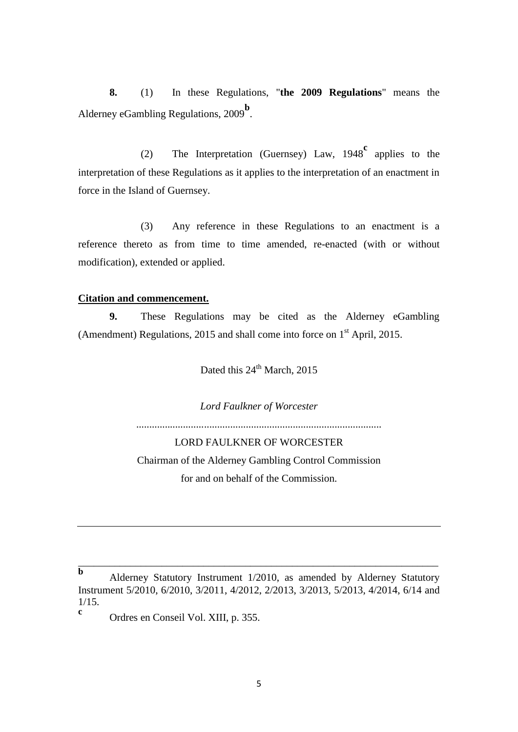**8.** (1) In these Regulations, "**the 2009 Regulations**" means the Alderney eGambling Regulations, 2009<sup>b</sup>.

(2) The Interpretation (Guernsey) Law, 1948**<sup>c</sup>** applies to the interpretation of these Regulations as it applies to the interpretation of an enactment in force in the Island of Guernsey.

(3) Any reference in these Regulations to an enactment is a reference thereto as from time to time amended, re-enacted (with or without modification), extended or applied.

#### **Citation and commencement.**

**9.** These Regulations may be cited as the Alderney eGambling (Amendment) Regulations, 2015 and shall come into force on 1<sup>st</sup> April, 2015.

Dated this 24<sup>th</sup> March, 2015

*Lord Faulkner of Worcester*

.............*.............*....................................................................

LORD FAULKNER OF WORCESTER Chairman of the Alderney Gambling Control Commission for and on behalf of the Commission.

\_\_\_\_\_\_\_\_\_\_\_\_\_\_\_\_\_\_\_\_\_\_\_\_\_\_\_\_\_\_\_\_\_\_\_\_\_\_\_\_\_\_\_\_\_\_\_\_\_\_\_\_\_\_\_\_\_\_\_\_\_\_\_\_\_\_\_\_\_

**c** Ordres en Conseil Vol. XIII, p. 355.

**b** Alderney Statutory Instrument 1/2010, as amended by Alderney Statutory Instrument 5/2010, 6/2010, 3/2011, 4/2012, 2/2013, 3/2013, 5/2013, 4/2014, 6/14 and 1/15.